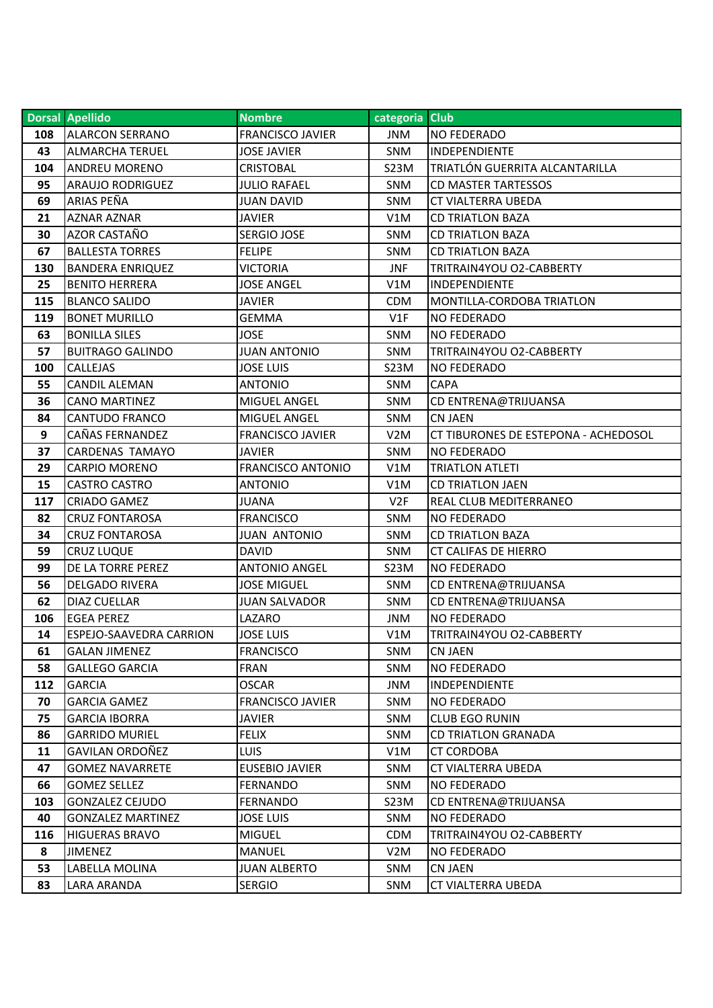|     | <b>Dorsal Apellido</b>         | <b>Nombre</b>            | categoria Club   |                                      |
|-----|--------------------------------|--------------------------|------------------|--------------------------------------|
| 108 | <b>ALARCON SERRANO</b>         | <b>FRANCISCO JAVIER</b>  | <b>JNM</b>       | <b>NO FEDERADO</b>                   |
| 43  | <b>ALMARCHA TERUEL</b>         | <b>JOSE JAVIER</b>       | SNM              | INDEPENDIENTE                        |
| 104 | <b>ANDREU MORENO</b>           | <b>CRISTOBAL</b>         | S23M             | TRIATLÓN GUERRITA ALCANTARILLA       |
| 95  | <b>ARAUJO RODRIGUEZ</b>        | <b>JULIO RAFAEL</b>      | <b>SNM</b>       | <b>CD MASTER TARTESSOS</b>           |
| 69  | ARIAS PEÑA                     | <b>JUAN DAVID</b>        | <b>SNM</b>       | <b>CT VIALTERRA UBEDA</b>            |
| 21  | AZNAR AZNAR                    | JAVIER                   | V1M              | <b>CD TRIATLON BAZA</b>              |
| 30  | AZOR CASTAÑO                   | <b>SERGIO JOSE</b>       | <b>SNM</b>       | <b>CD TRIATLON BAZA</b>              |
| 67  | <b>BALLESTA TORRES</b>         | <b>FELIPE</b>            | <b>SNM</b>       | <b>CD TRIATLON BAZA</b>              |
| 130 | <b>BANDERA ENRIQUEZ</b>        | <b>VICTORIA</b>          | JNF              | TRITRAIN4YOU O2-CABBERTY             |
| 25  | <b>BENITO HERRERA</b>          | <b>JOSE ANGEL</b>        | V1M              | INDEPENDIENTE                        |
| 115 | <b>BLANCO SALIDO</b>           | <b>JAVIER</b>            | <b>CDM</b>       | MONTILLA-CORDOBA TRIATLON            |
| 119 | <b>BONET MURILLO</b>           | <b>GEMMA</b>             | V1F              | <b>NO FEDERADO</b>                   |
| 63  | <b>BONILLA SILES</b>           | <b>JOSE</b>              | <b>SNM</b>       | <b>NO FEDERADO</b>                   |
| 57  | <b>BUITRAGO GALINDO</b>        | <b>JUAN ANTONIO</b>      | <b>SNM</b>       | TRITRAIN4YOU O2-CABBERTY             |
| 100 | <b>CALLEJAS</b>                | <b>JOSE LUIS</b>         | <b>S23M</b>      | <b>NO FEDERADO</b>                   |
| 55  | <b>CANDIL ALEMAN</b>           | <b>ANTONIO</b>           | <b>SNM</b>       | <b>CAPA</b>                          |
| 36  | <b>CANO MARTINEZ</b>           | MIGUEL ANGEL             | <b>SNM</b>       | CD ENTRENA@TRIJUANSA                 |
| 84  | <b>CANTUDO FRANCO</b>          | MIGUEL ANGEL             | <b>SNM</b>       | <b>CN JAEN</b>                       |
| 9   | CAÑAS FERNANDEZ                | <b>FRANCISCO JAVIER</b>  | V <sub>2</sub> M | CT TIBURONES DE ESTEPONA - ACHEDOSOL |
| 37  | <b>CARDENAS TAMAYO</b>         | <b>JAVIER</b>            | <b>SNM</b>       | <b>NO FEDERADO</b>                   |
| 29  | <b>CARPIO MORENO</b>           | <b>FRANCISCO ANTONIO</b> | V1M              | <b>TRIATLON ATLETI</b>               |
| 15  | <b>CASTRO CASTRO</b>           | <b>ANTONIO</b>           | V1M              | <b>CD TRIATLON JAEN</b>              |
| 117 | <b>CRIADO GAMEZ</b>            | <b>JUANA</b>             | V <sub>2F</sub>  | <b>REAL CLUB MEDITERRANEO</b>        |
| 82  | <b>CRUZ FONTAROSA</b>          | <b>FRANCISCO</b>         | <b>SNM</b>       | <b>NO FEDERADO</b>                   |
| 34  | <b>CRUZ FONTAROSA</b>          | <b>JUAN ANTONIO</b>      | <b>SNM</b>       | <b>CD TRIATLON BAZA</b>              |
| 59  | <b>CRUZ LUQUE</b>              | <b>DAVID</b>             | SNM              | <b>CT CALIFAS DE HIERRO</b>          |
| 99  | DE LA TORRE PEREZ              | <b>ANTONIO ANGEL</b>     | S23M             | <b>NO FEDERADO</b>                   |
| 56  | <b>DELGADO RIVERA</b>          | <b>JOSE MIGUEL</b>       | <b>SNM</b>       | CD ENTRENA@TRIJUANSA                 |
| 62  | <b>DIAZ CUELLAR</b>            | <b>JUAN SALVADOR</b>     | <b>SNM</b>       | CD ENTRENA@TRIJUANSA                 |
| 106 | <b>EGEA PEREZ</b>              | LAZARO                   | <b>JNM</b>       | <b>NO FEDERADO</b>                   |
| 14  | <b>ESPEJO-SAAVEDRA CARRION</b> | <b>JOSE LUIS</b>         | V1M              | TRITRAIN4YOU O2-CABBERTY             |
| 61  | <b>GALAN JIMENEZ</b>           | <b>FRANCISCO</b>         | <b>SNM</b>       | <b>CN JAEN</b>                       |
| 58  | <b>GALLEGO GARCIA</b>          | <b>FRAN</b>              | <b>SNM</b>       | <b>NO FEDERADO</b>                   |
| 112 | <b>GARCIA</b>                  | <b>OSCAR</b>             | <b>JNM</b>       | <b>INDEPENDIENTE</b>                 |
| 70  | <b>GARCIA GAMEZ</b>            | <b>FRANCISCO JAVIER</b>  | SNM              | <b>NO FEDERADO</b>                   |
| 75  | <b>GARCIA IBORRA</b>           | <b>JAVIER</b>            | <b>SNM</b>       | <b>CLUB EGO RUNIN</b>                |
| 86  | <b>GARRIDO MURIEL</b>          | <b>FELIX</b>             | <b>SNM</b>       | <b>CD TRIATLON GRANADA</b>           |
| 11  | <b>GAVILAN ORDOÑEZ</b>         | <b>LUIS</b>              | V1M              | <b>CT CORDOBA</b>                    |
| 47  | <b>GOMEZ NAVARRETE</b>         | <b>EUSEBIO JAVIER</b>    | <b>SNM</b>       | <b>CT VIALTERRA UBEDA</b>            |
| 66  | <b>GOMEZ SELLEZ</b>            | <b>FERNANDO</b>          | <b>SNM</b>       | <b>NO FEDERADO</b>                   |
| 103 | <b>GONZALEZ CEJUDO</b>         | <b>FERNANDO</b>          | S23M             | CD ENTRENA@TRIJUANSA                 |
| 40  | <b>GONZALEZ MARTINEZ</b>       | <b>JOSE LUIS</b>         | <b>SNM</b>       | <b>NO FEDERADO</b>                   |
| 116 | <b>HIGUERAS BRAVO</b>          | <b>MIGUEL</b>            | <b>CDM</b>       | TRITRAIN4YOU O2-CABBERTY             |
| 8   | <b>JIMENEZ</b>                 | <b>MANUEL</b>            | V <sub>2</sub> M | <b>NO FEDERADO</b>                   |
| 53  | LABELLA MOLINA                 | <b>JUAN ALBERTO</b>      | <b>SNM</b>       | <b>CN JAEN</b>                       |
| 83  | LARA ARANDA                    | <b>SERGIO</b>            | <b>SNM</b>       | CT VIALTERRA UBEDA                   |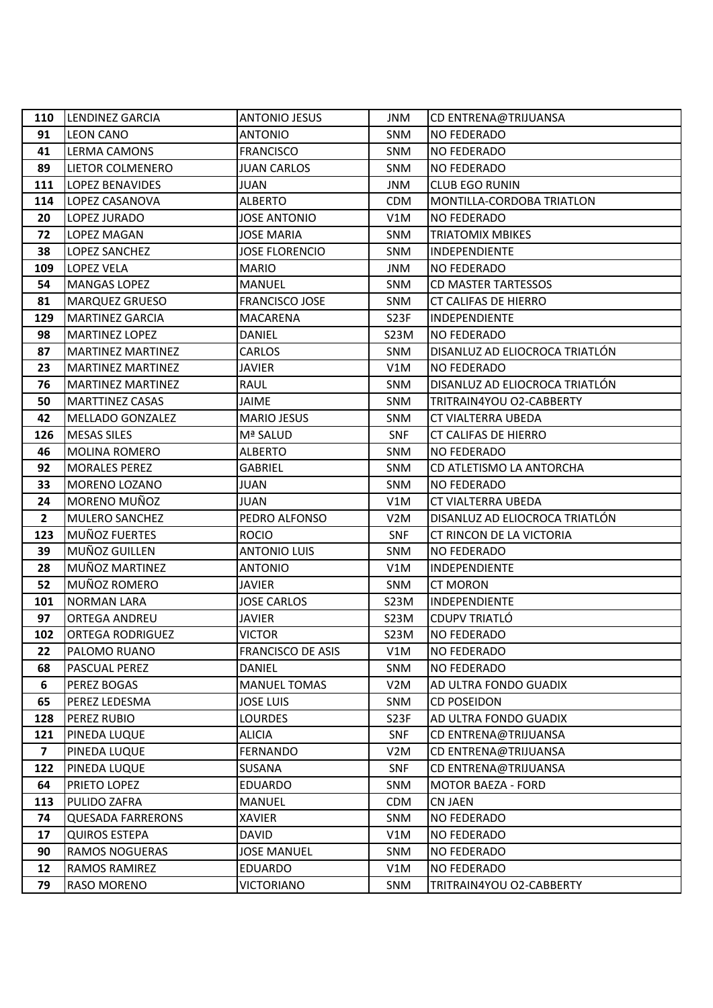| 110                     | LENDINEZ GARCIA          | <b>ANTONIO JESUS</b>     | <b>JNM</b>        | CD ENTRENA@TRIJUANSA           |
|-------------------------|--------------------------|--------------------------|-------------------|--------------------------------|
| 91                      | <b>LEON CANO</b>         | <b>ANTONIO</b>           | SNM               | <b>NO FEDERADO</b>             |
| 41                      | <b>LERMA CAMONS</b>      | <b>FRANCISCO</b>         | <b>SNM</b>        | <b>NO FEDERADO</b>             |
| 89                      | LIETOR COLMENERO         | <b>JUAN CARLOS</b>       | <b>SNM</b>        | <b>NO FEDERADO</b>             |
| 111                     | <b>LOPEZ BENAVIDES</b>   | <b>JUAN</b>              | <b>JNM</b>        | <b>CLUB EGO RUNIN</b>          |
| 114                     | LOPEZ CASANOVA           | <b>ALBERTO</b>           | <b>CDM</b>        | MONTILLA-CORDOBA TRIATLON      |
| 20                      | LOPEZ JURADO             | <b>JOSE ANTONIO</b>      | V1M               | <b>NO FEDERADO</b>             |
| 72                      | LOPEZ MAGAN              | <b>JOSE MARIA</b>        | <b>SNM</b>        | <b>TRIATOMIX MBIKES</b>        |
| 38                      | LOPEZ SANCHEZ            | <b>JOSE FLORENCIO</b>    | <b>SNM</b>        | <b>INDEPENDIENTE</b>           |
| 109                     | <b>LOPEZ VELA</b>        | <b>MARIO</b>             | <b>JNM</b>        | <b>NO FEDERADO</b>             |
| 54                      | <b>MANGAS LOPEZ</b>      | <b>MANUEL</b>            | <b>SNM</b>        | <b>CD MASTER TARTESSOS</b>     |
| 81                      | <b>MARQUEZ GRUESO</b>    | <b>FRANCISCO JOSE</b>    | <b>SNM</b>        | <b>CT CALIFAS DE HIERRO</b>    |
| 129                     | <b>MARTINEZ GARCIA</b>   | <b>MACARENA</b>          | S <sub>2</sub> 3F | INDEPENDIENTE                  |
| 98                      | <b>MARTINEZ LOPEZ</b>    | <b>DANIEL</b>            | S23M              | <b>NO FEDERADO</b>             |
| 87                      | <b>MARTINEZ MARTINEZ</b> | <b>CARLOS</b>            | <b>SNM</b>        | DISANLUZ AD ELIOCROCA TRIATLÓN |
| 23                      | <b>MARTINEZ MARTINEZ</b> | <b>JAVIER</b>            | V1M               | <b>NO FEDERADO</b>             |
| 76                      | <b>MARTINEZ MARTINEZ</b> | RAUL                     | <b>SNM</b>        | DISANLUZ AD ELIOCROCA TRIATLÓN |
| 50                      | <b>MARTTINEZ CASAS</b>   | <b>JAIME</b>             | SNM               | TRITRAIN4YOU O2-CABBERTY       |
| 42                      | <b>MELLADO GONZALEZ</b>  | <b>MARIO JESUS</b>       | <b>SNM</b>        | CT VIALTERRA UBEDA             |
| 126                     | <b>MESAS SILES</b>       | Mª SALUD                 | <b>SNF</b>        | <b>CT CALIFAS DE HIERRO</b>    |
| 46                      | <b>MOLINA ROMERO</b>     | <b>ALBERTO</b>           | <b>SNM</b>        | <b>NO FEDERADO</b>             |
| 92                      | <b>MORALES PEREZ</b>     | <b>GABRIEL</b>           | <b>SNM</b>        | CD ATLETISMO LA ANTORCHA       |
| 33                      | MORENO LOZANO            | <b>JUAN</b>              | <b>SNM</b>        | <b>NO FEDERADO</b>             |
| 24                      | MORENO MUÑOZ             | <b>JUAN</b>              | V1M               | <b>CT VIALTERRA UBEDA</b>      |
| $\overline{2}$          | MULERO SANCHEZ           | PEDRO ALFONSO            | V <sub>2</sub> M  | DISANLUZ AD ELIOCROCA TRIATLÓN |
| 123                     | MUÑOZ FUERTES            | <b>ROCIO</b>             | <b>SNF</b>        | CT RINCON DE LA VICTORIA       |
| 39                      | MUÑOZ GUILLEN            | <b>ANTONIO LUIS</b>      | <b>SNM</b>        | <b>NO FEDERADO</b>             |
| 28                      | MUÑOZ MARTINEZ           | <b>ANTONIO</b>           | V1M               | <b>INDEPENDIENTE</b>           |
| 52                      | MUÑOZ ROMERO             | <b>JAVIER</b>            | <b>SNM</b>        | <b>CT MORON</b>                |
| 101                     | <b>NORMAN LARA</b>       | <b>JOSE CARLOS</b>       | S23M              | INDEPENDIENTE                  |
| 97                      | <b>ORTEGA ANDREU</b>     | <b>JAVIER</b>            | S23M              | <b>CDUPV TRIATLÓ</b>           |
| 102                     | <b>ORTEGA RODRIGUEZ</b>  | <b>VICTOR</b>            | S23M              | <b>NO FEDERADO</b>             |
| 22                      | PALOMO RUANO             | <b>FRANCISCO DE ASIS</b> | V1M               | <b>NO FEDERADO</b>             |
| 68                      | PASCUAL PEREZ            | <b>DANIEL</b>            | <b>SNM</b>        | <b>NO FEDERADO</b>             |
| 6                       | PEREZ BOGAS              | <b>MANUEL TOMAS</b>      | V2M               | AD ULTRA FONDO GUADIX          |
| 65                      | PEREZ LEDESMA            | <b>JOSE LUIS</b>         | SNM               | <b>CD POSEIDON</b>             |
| 128                     | PEREZ RUBIO              | <b>LOURDES</b>           | S <sub>2</sub> 3F | AD ULTRA FONDO GUADIX          |
| 121                     | PINEDA LUQUE             | <b>ALICIA</b>            | <b>SNF</b>        | CD ENTRENA@TRIJUANSA           |
| $\overline{\mathbf{z}}$ | PINEDA LUQUE             | <b>FERNANDO</b>          | V <sub>2</sub> M  | CD ENTRENA@TRIJUANSA           |
| 122                     | PINEDA LUQUE             | <b>SUSANA</b>            | <b>SNF</b>        | CD ENTRENA@TRIJUANSA           |
| 64                      | PRIETO LOPEZ             | <b>EDUARDO</b>           | SNM               | <b>MOTOR BAEZA - FORD</b>      |
| 113                     | PULIDO ZAFRA             | <b>MANUEL</b>            | <b>CDM</b>        | <b>CN JAEN</b>                 |
| 74                      | <b>QUESADA FARRERONS</b> | <b>XAVIER</b>            | SNM               | <b>NO FEDERADO</b>             |
| 17                      | <b>QUIROS ESTEPA</b>     | <b>DAVID</b>             | V1M               | <b>NO FEDERADO</b>             |
| 90                      | RAMOS NOGUERAS           | <b>JOSE MANUEL</b>       | <b>SNM</b>        | <b>NO FEDERADO</b>             |
| 12                      | RAMOS RAMIREZ            | <b>EDUARDO</b>           | V1M               | <b>NO FEDERADO</b>             |
| 79                      | RASO MORENO              | <b>VICTORIANO</b>        | SNM               | TRITRAIN4YOU O2-CABBERTY       |